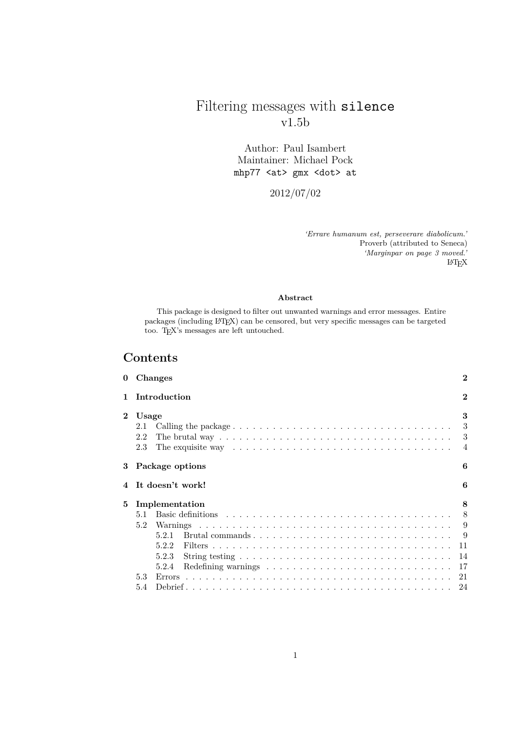# Filtering messages with silence v1.5b

Author: Paul Isambert Maintainer: Michael Pock mhp77 <at> gmx <dot> at

2012/07/02

*'Errare humanum est, perseverare diabolicum.'* Proverb (attributed to Seneca) *'Marginpar on page 3 moved.'* LATEX

### **Abstract**

This package is designed to filter out unwanted warnings and error messages. Entire packages (including LATEX) can be censored, but very specific messages can be targeted too. TEX's messages are left untouched.

# **Contents**

|                | 0 Changes                                                                                                                                                                                                                               | $\bf{2}$                 |  |  |  |  |  |  |  |
|----------------|-----------------------------------------------------------------------------------------------------------------------------------------------------------------------------------------------------------------------------------------|--------------------------|--|--|--|--|--|--|--|
| 1 Introduction |                                                                                                                                                                                                                                         |                          |  |  |  |  |  |  |  |
| $\overline{2}$ | Usage<br>2.1<br>The brutal way $\ldots \ldots \ldots \ldots \ldots \ldots \ldots \ldots \ldots \ldots \ldots \ldots$<br>2.2<br>The exquisite way $\dots \dots \dots \dots \dots \dots \dots \dots \dots \dots \dots \dots \dots$<br>2.3 | 3<br>3<br>$\overline{4}$ |  |  |  |  |  |  |  |
|                | 3 Package options                                                                                                                                                                                                                       | 6                        |  |  |  |  |  |  |  |
|                | 4 It doesn't work!                                                                                                                                                                                                                      | 6                        |  |  |  |  |  |  |  |
| 5              | Implementation                                                                                                                                                                                                                          |                          |  |  |  |  |  |  |  |
|                | 5.1                                                                                                                                                                                                                                     |                          |  |  |  |  |  |  |  |
|                | 5.2                                                                                                                                                                                                                                     | -9                       |  |  |  |  |  |  |  |
|                | 5.2.1                                                                                                                                                                                                                                   |                          |  |  |  |  |  |  |  |
|                | 522                                                                                                                                                                                                                                     | -11                      |  |  |  |  |  |  |  |
|                | String testing $\ldots \ldots \ldots \ldots \ldots \ldots \ldots \ldots \ldots \ldots \ldots$<br>5.2.3                                                                                                                                  | -14                      |  |  |  |  |  |  |  |
|                | 5.2.4                                                                                                                                                                                                                                   |                          |  |  |  |  |  |  |  |
|                | 5.3                                                                                                                                                                                                                                     |                          |  |  |  |  |  |  |  |
|                | 5.4                                                                                                                                                                                                                                     |                          |  |  |  |  |  |  |  |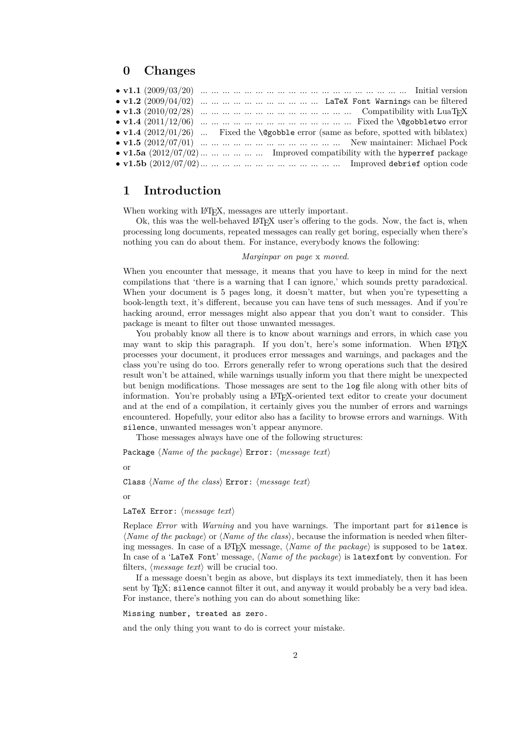## **0 Changes**

|  |  |  |  |  |  |  |  |  | • $v1.2$ (2009/04/02)          LaTeX Font Warnings can be filtered                            |  |
|--|--|--|--|--|--|--|--|--|-----------------------------------------------------------------------------------------------|--|
|  |  |  |  |  |  |  |  |  |                                                                                               |  |
|  |  |  |  |  |  |  |  |  |                                                                                               |  |
|  |  |  |  |  |  |  |  |  | • v1.4 $(2012/01/26)$ Fixed the <i>\@gobble error</i> (same as before, spotted with biblatex) |  |
|  |  |  |  |  |  |  |  |  |                                                                                               |  |
|  |  |  |  |  |  |  |  |  | • v1.5a $(2012/07/02)$ Improved compatibility with the hyperref package                       |  |
|  |  |  |  |  |  |  |  |  |                                                                                               |  |
|  |  |  |  |  |  |  |  |  |                                                                                               |  |

# **1 Introduction**

When working with LAT<sub>EX</sub>, messages are utterly important.

Ok, this was the well-behaved LATEX user's offering to the gods. Now, the fact is, when processing long documents, repeated messages can really get boring, especially when there's nothing you can do about them. For instance, everybody knows the following:

#### *Marginpar on page* x *moved.*

When you encounter that message, it means that you have to keep in mind for the next compilations that 'there is a warning that I can ignore,' which sounds pretty paradoxical. When your document is 5 pages long, it doesn't matter, but when you're typesetting a book-length text, it's different, because you can have tens of such messages. And if you're hacking around, error messages might also appear that you don't want to consider. This package is meant to filter out those unwanted messages.

You probably know all there is to know about warnings and errors, in which case you may want to skip this paragraph. If you don't, here's some information. When  $\text{LATEX}$ processes your document, it produces error messages and warnings, and packages and the class you're using do too. Errors generally refer to wrong operations such that the desired result won't be attained, while warnings usually inform you that there might be unexpected but benign modifications. Those messages are sent to the log file along with other bits of information. You're probably using a LAT<sub>EX</sub>-oriented text editor to create your document and at the end of a compilation, it certainly gives you the number of errors and warnings encountered. Hopefully, your editor also has a facility to browse errors and warnings. With silence, unwanted messages won't appear anymore.

Those messages always have one of the following structures:

Package  $\langle Name\ of\ the\ package\ Error: \langle message\ text\rangle$ 

or

Class *(Name of the class)* Error: *(message text)* 

or

LaTeX Error: *(message text)* 

Replace *Error* with *Warning* and you have warnings. The important part for silence is  $\langle Name\ of\ the\ package\rangle$  or  $\langle Name\ of\ the\ class\rangle$ , because the information is needed when filtering messages. In case of a L<sup>A</sup>T<sub>E</sub>X message, *(Name of the package)* is supposed to be latex. In case of a 'LaTeX Font' message, *(Name of the package)* is latexfont by convention. For filters,  $\langle message \text{ text} \rangle$  will be crucial too.

If a message doesn't begin as above, but displays its text immediately, then it has been sent by T<sub>F</sub>X; silence cannot filter it out, and anyway it would probably be a very bad idea. For instance, there's nothing you can do about something like:

Missing number, treated as zero.

and the only thing you want to do is correct your mistake.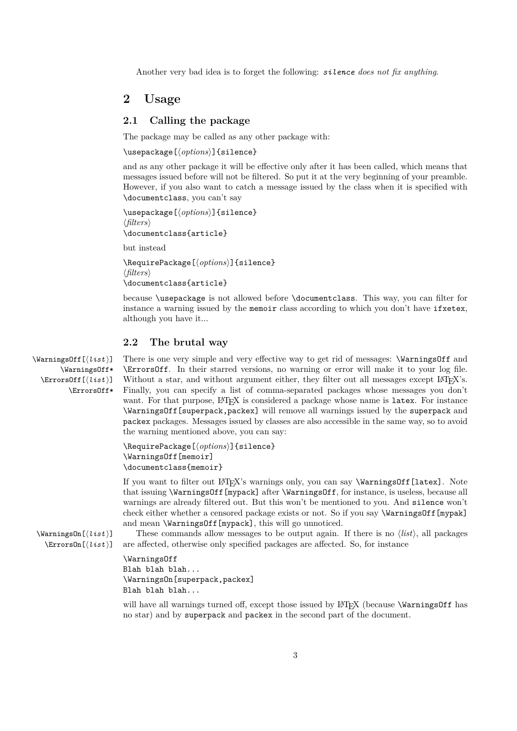Another very bad idea is to forget the following: *silence does not fix anything*.

# **2 Usage**

### **2.1 Calling the package**

The package may be called as any other package with:

\usepackage[ $\langle options \rangle$ ]{silence}

and as any other package it will be effective only after it has been called, which means that messages issued before will not be filtered. So put it at the very beginning of your preamble. However, if you also want to catch a message issued by the class when it is specified with \documentclass, you can't say

\usepackage[ $\langle options \rangle$ ]{silence} h*filters*i \documentclass{article} but instead

\RequirePackage[ $\langle options \rangle$ ]{silence} h*filters*i \documentclass{article}

because \usepackage is not allowed before \documentclass. This way, you can filter for instance a warning issued by the memoir class according to which you don't have ifxetex, although you have it...

### **2.2 The brutal way**

\WarningsOff\*  $\text{Error}([list])$ \ErrorsOff\*

\WarningsOff[h*list* i] There is one very simple and very effective way to get rid of messages: \WarningsOff and \ErrorsOff. In their starred versions, no warning or error will make it to your log file. Without a star, and without argument either, they filter out all messages except LAT<sub>EX</sub>'s. Finally, you can specify a list of comma-separated packages whose messages you don't want. For that purpose, LATEX is considered a package whose name is latex. For instance \WarningsOff[superpack,packex] will remove all warnings issued by the superpack and packex packages. Messages issued by classes are also accessible in the same way, so to avoid the warning mentioned above, you can say:

```
\RequirePackage[\langle options \rangle]{silence}
\WarningsOff[memoir]
\documentclass{memoir}
```
If you want to filter out LATEX's warnings only, you can say \WarningsOff[latex]. Note that issuing \WarningsOff[mypack] after \WarningsOff, for instance, is useless, because all warnings are already filtered out. But this won't be mentioned to you. And silence won't check either whether a censored package exists or not. So if you say **\WarningsOff**[mypak] and mean \WarningsOff[mypack], this will go unnoticed.

 $\W$ arningsOn[*list*)] These commands allow messages to be output again. If there is no *list*), all packages  $\text{Errorson}[\text{list}]$  are affected, otherwise only specified packages are affected. So, for instance

### \WarningsOff

Blah blah blah... \WarningsOn[superpack,packex] Blah blah blah...

will have all warnings turned off, except those issued by LATEX (because **\WarningsOff** has no star) and by superpack and packex in the second part of the document.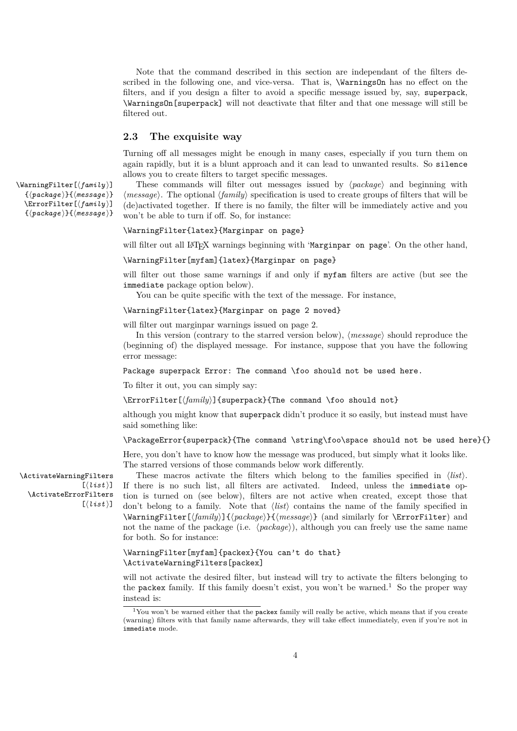Note that the command described in this section are independant of the filters described in the following one, and vice-versa. That is, **\WarningsOn** has no effect on the filters, and if you design a filter to avoid a specific message issued by, say, superpack, \WarningsOn[superpack] will not deactivate that filter and that one message will still be filtered out.

### **2.3 The exquisite way**

Turning off all messages might be enough in many cases, especially if you turn them on again rapidly, but it is a blunt approach and it can lead to unwanted results. So silence allows you to create filters to target specific messages.

\WarningFilter[\family\] These commands will filter out messages issued by  $\langle package \rangle$  and beginning with  $\langle message \rangle$ . The optional  $\langle family \rangle$  specification is used to create groups of filters that will be (de)activated together. If there is no family, the filter will be immediately active and you won't be able to turn if off. So, for instance:

### \WarningFilter{latex}{Marginpar on page}

will filter out all LAT<sub>EX</sub> warnings beginning with 'Marginpar on page'. On the other hand,

#### \WarningFilter[myfam]{latex}{Marginpar on page}

will filter out those same warnings if and only if myfam filters are active (but see the immediate package option below).

You can be quite specific with the text of the message. For instance,

### \WarningFilter{latex}{Marginpar on page 2 moved}

will filter out marginpar warnings issued on page 2.

In this version (contrary to the starred version below),  $\langle message \rangle$  should reproduce the (beginning of) the displayed message. For instance, suppose that you have the following error message:

Package superpack Error: The command \foo should not be used here.

To filter it out, you can simply say:

\ErrorFilter[\*family*)]{superpack}{The command \foo should not}

although you might know that superpack didn't produce it so easily, but instead must have said something like:

### \PackageError{superpack}{The command \string\foo\space should not be used here}{}

Here, you don't have to know how the message was produced, but simply what it looks like. The starred versions of those commands below work differently.

 $[\langle list \rangle]$ \ActivateErrorFilters  $[(list)]$ 

\ActivateWarningFilters These macros activate the filters which belong to the families specified in h*list*i. If there is no such list, all filters are activated. Indeed, unless the immediate option is turned on (see below), filters are not active when created, except those that don't belong to a family. Note that  $\langle list \rangle$  contains the name of the family specified in \WarningFilter[*{family*}]{*{package}*}{*(message)*} (and similarly for \ErrorFilter) and not the name of the package (i.e.  $\langle package \rangle$ ), although you can freely use the same name for both. So for instance:

### \WarningFilter[myfam]{packex}{You can't do that} \ActivateWarningFilters[packex]

will not activate the desired filter, but instead will try to activate the filters belonging to the packex family. If this family doesn't exist, you won't be warned.<sup>1</sup> So the proper way instead is:

 $\{\langle package \rangle\}$ *{* \*message* \}

- \ErrorFilter[ $\{family\}$ ]
- $\{\langle package \rangle\}$ *{* \*message*  $\rangle$ }

<sup>&</sup>lt;sup>1</sup>You won't be warned either that the packex family will really be active, which means that if you create (warning) filters with that family name afterwards, they will take effect immediately, even if you're not in immediate mode.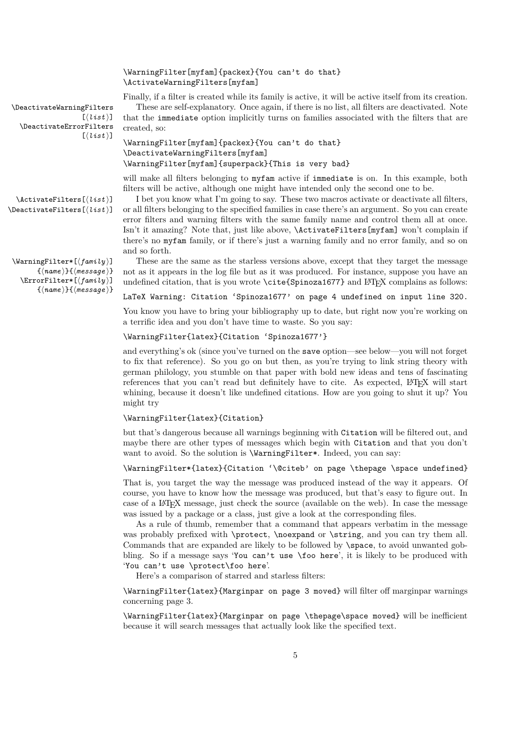### \WarningFilter[myfam]{packex}{You can't do that} \ActivateWarningFilters[myfam]

Finally, if a filter is created while its family is active, it will be active itself from its creation.

 $[(list)]$ \DeactivateErrorFilters  $[(list)]$ 

```
\DeactivateWarningFilters These are self-explanatory. Once again, if there is no list, all filters are deactivated. Note
                             that the immediate option implicitly turns on families associated with the filters that are
                             created, so:
```

```
\WarningFilter[myfam]{packex}{You can't do that}
\DeactivateWarningFilters[myfam]
\WarningFilter[myfam]{superpack}{This is very bad}
```
will make all filters belonging to myfam active if immediate is on. In this example, both filters will be active, although one might have intended only the second one to be.

 $\text{Matrix}[\text{list}]$  I bet you know what I'm going to say. These two macros activate or deactivate all filters,  $\Delta$ **)** or all filters belonging to the specified families in case there's an argument. So you can create error filters and warning filters with the same family name and control them all at once. Isn't it amazing? Note that, just like above, \ActivateFilters[myfam] won't complain if there's no myfam family, or if there's just a warning family and no error family, and so on and so forth.

\WarningFilter\*[\*family* }] These are the same as the starless versions above, except that they target the message not as it appears in the log file but as it was produced. For instance, suppose you have an undefined citation, that is you wrote  $\ct{Spinoza1677}$  and  $\LaTeX{}$  complains as follows:

LaTeX Warning: Citation 'Spinoza1677' on page 4 undefined on input line 320.

You know you have to bring your bibliography up to date, but right now you're working on a terrific idea and you don't have time to waste. So you say:

\WarningFilter{latex}{Citation 'Spinoza1677'}

and everything's ok (since you've turned on the save option—see below—you will not forget to fix that reference). So you go on but then, as you're trying to link string theory with german philology, you stumble on that paper with bold new ideas and tens of fascinating references that you can't read but definitely have to cite. As expected, LAT<sub>EX</sub> will start whining, because it doesn't like undefined citations. How are you going to shut it up? You might try

### \WarningFilter{latex}{Citation}

but that's dangerous because all warnings beginning with Citation will be filtered out, and maybe there are other types of messages which begin with Citation and that you don't want to avoid. So the solution is \WarningFilter\*. Indeed, you can say:

\WarningFilter\*{latex}{Citation '\@citeb' on page \thepage \space undefined}

That is, you target the way the message was produced instead of the way it appears. Of course, you have to know how the message was produced, but that's easy to figure out. In case of a LATEX message, just check the source (available on the web). In case the message was issued by a package or a class, just give a look at the corresponding files.

As a rule of thumb, remember that a command that appears verbatim in the message was probably prefixed with \protect, \noexpand or \string, and you can try them all. Commands that are expanded are likely to be followed by \space, to avoid unwanted gobbling. So if a message says 'You can't use \foo here', it is likely to be produced with 'You can't use \protect\foo here'.

Here's a comparison of starred and starless filters:

\WarningFilter{latex}{Marginpar on page 3 moved} will filter off marginpar warnings concerning page 3.

\WarningFilter{latex}{Marginpar on page \thepage\space moved} will be inefficient because it will search messages that actually look like the specified text.

 $\{\langle name \rangle\}\{\langle message \rangle\}$ 

\ErrorFilter\*[\family\]

 $\{\langle name \rangle\}\{\langle message \rangle\}$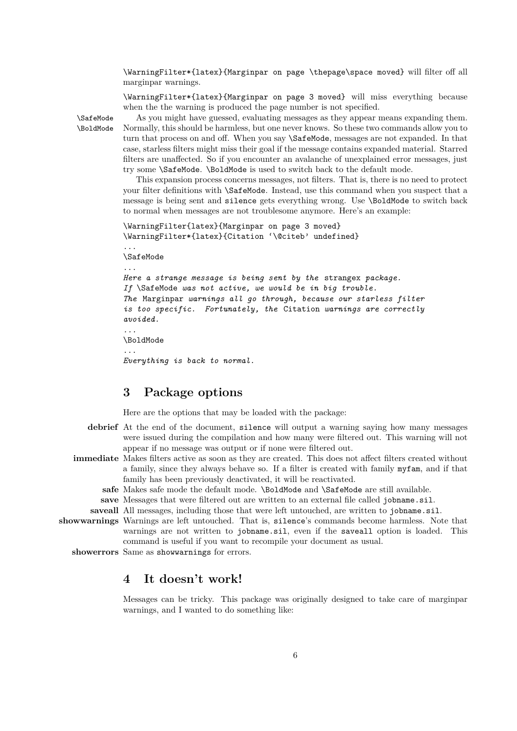\WarningFilter\*{latex}{Marginpar on page \thepage\space moved} will filter off all marginpar warnings.

\WarningFilter\*{latex}{Marginpar on page 3 moved} will miss everything because when the the warning is produced the page number is not specified.

\SafeMode As you might have guessed, evaluating messages as they appear means expanding them. \BoldMode Normally, this should be harmless, but one never knows. So these two commands allow you to turn that process on and off. When you say \SafeMode, messages are not expanded. In that case, starless filters might miss their goal if the message contains expanded material. Starred filters are unaffected. So if you encounter an avalanche of unexplained error messages, just try some \SafeMode. \BoldMode is used to switch back to the default mode.

> This expansion process concerns messages, not filters. That is, there is no need to protect your filter definitions with \SafeMode. Instead, use this command when you suspect that a message is being sent and silence gets everything wrong. Use \BoldMode to switch back to normal when messages are not troublesome anymore. Here's an example:

```
\WarningFilter{latex}{Marginpar on page 3 moved}
\WarningFilter*{latex}{Citation '\@citeb' undefined}
```
\SafeMode

...

...

```
Here a strange message is being sent by the strangex package.
If \SafeMode was not active, we would be in big trouble.
The Marginpar warnings all go through, because our starless filter
is too specific. Fortunately, the Citation warnings are correctly
avoided.
```
\BoldMode

*...*

...

*Everything is back to normal.*

# **3 Package options**

Here are the options that may be loaded with the package:

- **debrief** At the end of the document, silence will output a warning saying how many messages were issued during the compilation and how many were filtered out. This warning will not appear if no message was output or if none were filtered out.
- **immediate** Makes filters active as soon as they are created. This does not affect filters created without a family, since they always behave so. If a filter is created with family myfam, and if that family has been previously deactivated, it will be reactivated.
	- safe Makes safe mode the default mode. \BoldMode and \SafeMode are still available.
	- save Messages that were filtered out are written to an external file called jobname.sil.

saveall All messages, including those that were left untouched, are written to jobname.sil.

**showwarnings** Warnings are left untouched. That is, silence's commands become harmless. Note that warnings are not written to jobname.sil, even if the saveall option is loaded. This command is useful if you want to recompile your document as usual.

**showerrors** Same as showwarnings for errors.

# **4 It doesn't work!**

Messages can be tricky. This package was originally designed to take care of marginpar warnings, and I wanted to do something like: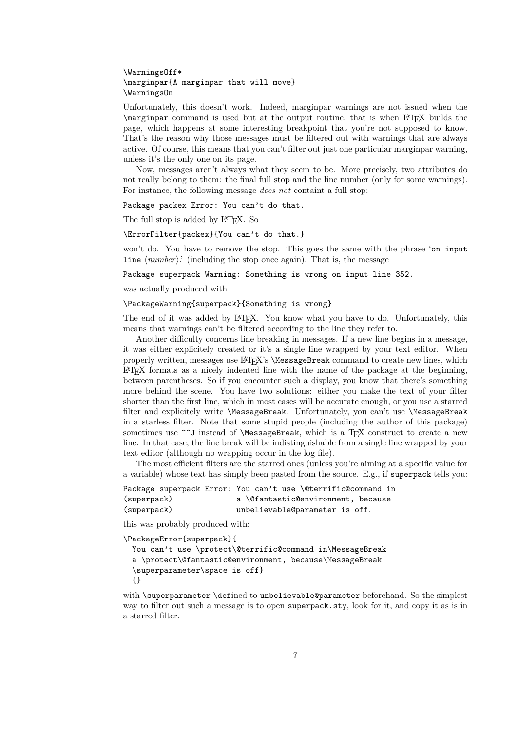### \WarningsOff\* \marginpar{A marginpar that will move} \WarningsOn

Unfortunately, this doesn't work. Indeed, marginpar warnings are not issued when the \marginpar command is used but at the output routine, that is when LATEX builds the page, which happens at some interesting breakpoint that you're not supposed to know. That's the reason why those messages must be filtered out with warnings that are always active. Of course, this means that you can't filter out just one particular marginpar warning, unless it's the only one on its page.

Now, messages aren't always what they seem to be. More precisely, two attributes do not really belong to them: the final full stop and the line number (only for some warnings). For instance, the following message *does not* containt a full stop:

Package packex Error: You can't do that.

The full stop is added by L<sup>AT</sup>FX. So

### \ErrorFilter{packex}{You can't do that.}

won't do. You have to remove the stop. This goes the same with the phrase 'on input line  $\langle number \rangle$ .' (including the stop once again). That is, the message

Package superpack Warning: Something is wrong on input line 352.

was actually produced with

### \PackageWarning{superpack}{Something is wrong}

The end of it was added by LATEX. You know what you have to do. Unfortunately, this means that warnings can't be filtered according to the line they refer to.

Another difficulty concerns line breaking in messages. If a new line begins in a message, it was either explicitely created or it's a single line wrapped by your text editor. When properly written, messages use LATEX's \MessageBreak command to create new lines, which  $\Delta E$ T<sub>EX</sub> formats as a nicely indented line with the name of the package at the beginning, between parentheses. So if you encounter such a display, you know that there's something more behind the scene. You have two solutions: either you make the text of your filter shorter than the first line, which in most cases will be accurate enough, or you use a starred filter and explicitely write \MessageBreak. Unfortunately, you can't use \MessageBreak in a starless filter. Note that some stupid people (including the author of this package) sometimes use  $\sim$ J instead of \MessageBreak, which is a TFX construct to create a new line. In that case, the line break will be indistinguishable from a single line wrapped by your text editor (although no wrapping occur in the log file).

The most efficient filters are the starred ones (unless you're aiming at a specific value for a variable) whose text has simply been pasted from the source. E.g., if superpack tells you:

Package superpack Error: You can't use \@terrific@command in (superpack) a \@fantastic@environment, because (superpack) unbelievable@parameter is off.

this was probably produced with:

```
\PackageError{superpack}{
```

```
You can't use \protect\@terrific@command in\MessageBreak
a \protect\@fantastic@environment, because\MessageBreak
\superparameter\space is off}
{}
```
with \superparameter \defined to unbelievable@parameter beforehand. So the simplest way to filter out such a message is to open superpack.sty, look for it, and copy it as is in a starred filter.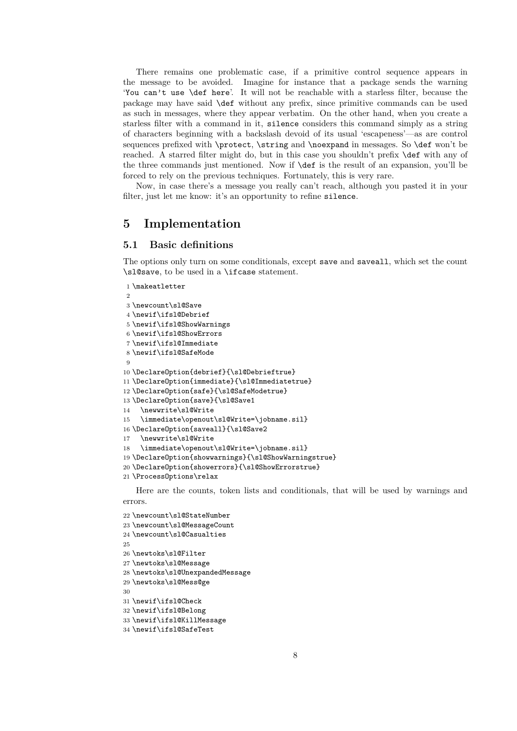There remains one problematic case, if a primitive control sequence appears in the message to be avoided. Imagine for instance that a package sends the warning 'You can't use \def here'. It will not be reachable with a starless filter, because the package may have said \def without any prefix, since primitive commands can be used as such in messages, where they appear verbatim. On the other hand, when you create a starless filter with a command in it, silence considers this command simply as a string of characters beginning with a backslash devoid of its usual 'escapeness'—as are control sequences prefixed with \protect, \string and \noexpand in messages. So \def won't be reached. A starred filter might do, but in this case you shouldn't prefix \def with any of the three commands just mentioned. Now if \def is the result of an expansion, you'll be forced to rely on the previous techniques. Fortunately, this is very rare.

Now, in case there's a message you really can't reach, although you pasted it in your filter, just let me know: it's an opportunity to refine silence.

## **5 Implementation**

### **5.1 Basic definitions**

The options only turn on some conditionals, except save and saveall, which set the count \sl@save, to be used in a \ifcase statement.

```
1 \makeatletter
\Omega3 \newcount\sl@Save
4 \newif\ifsl@Debrief
5 \newif\ifsl@ShowWarnings
6 \newif\ifsl@ShowErrors
7 \newif\ifsl@Immediate
8 \newif\ifsl@SafeMode
 9
10 \DeclareOption{debrief}{\sl@Debrieftrue}
11 \DeclareOption{immediate}{\sl@Immediatetrue}
12 \DeclareOption{safe}{\sl@SafeModetrue}
13 \DeclareOption{save}{\sl@Save1
14 \newwrite\sl@Write
15 \immediate\openout\sl@Write=\jobname.sil}
16 \DeclareOption{saveall}{\sl@Save2
17 \newwrite\sl@Write
18 \immediate\openout\sl@Write=\jobname.sil}
19 \DeclareOption{showwarnings}{\sl@ShowWarningstrue}
20 \DeclareOption{showerrors}{\sl@ShowErrorstrue}
21 \ProcessOptions\relax
```
Here are the counts, token lists and conditionals, that will be used by warnings and errors.

```
22 \newcount\sl@StateNumber
23 \newcount\sl@MessageCount
24 \newcount\sl@Casualties
2526 \newtoks\sl@Filter
27 \newtoks\sl@Message
28 \newtoks\sl@UnexpandedMessage
29 \newtoks\sl@Mess@ge
30
31 \newif\ifsl@Check
32 \newif\ifsl@Belong
33 \newif\ifsl@KillMessage
34 \newif\ifsl@SafeTest
```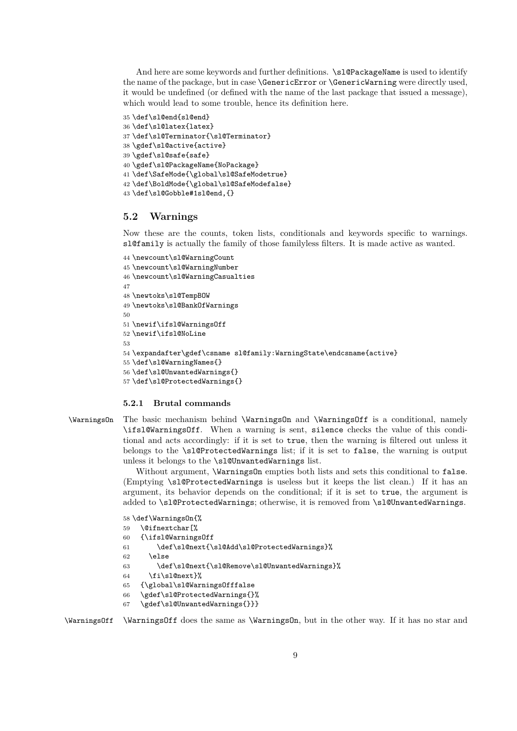And here are some keywords and further definitions. \sl@PackageName is used to identify the name of the package, but in case \GenericError or \GenericWarning were directly used, it would be undefined (or defined with the name of the last package that issued a message), which would lead to some trouble, hence its definition here.

```
35 \def\sl@end{sl@end}
36 \def\sl@latex{latex}
37 \def\sl@Terminator{\sl@Terminator}
38 \gdef\sl@active{active}
39 \gdef\sl@safe{safe}
40 \gdef\sl@PackageName{NoPackage}
41 \def\SafeMode{\global\sl@SafeModetrue}
42 \def\BoldMode{\global\sl@SafeModefalse}
43 \def\sl@Gobble#1sl@end,{}
```
### **5.2 Warnings**

Now these are the counts, token lists, conditionals and keywords specific to warnings. sl@family is actually the family of those familyless filters. It is made active as wanted.

```
44 \newcount\sl@WarningCount
45 \newcount\sl@WarningNumber
46 \newcount\sl@WarningCasualties
47
48 \newtoks\sl@TempBOW
49 \newtoks\sl@BankOfWarnings
50
51 \newif\ifsl@WarningsOff
52 \newif\ifsl@NoLine
53
54 \expandafter\gdef\csname sl@family:WarningState\endcsname{active}
55 \def\sl@WarningNames{}
56 \def\sl@UnwantedWarnings{}
57 \def\sl@ProtectedWarnings{}
```
#### **5.2.1 Brutal commands**

\WarningsOn The basic mechanism behind \WarningsOn and \WarningsOff is a conditional, namely \ifsl@WarningsOff. When a warning is sent, silence checks the value of this conditional and acts accordingly: if it is set to true, then the warning is filtered out unless it belongs to the \sl@ProtectedWarnings list; if it is set to false, the warning is output unless it belongs to the \sl@UnwantedWarnings list.

> Without argument, \WarningsOn empties both lists and sets this conditional to false. (Emptying \sl@ProtectedWarnings is useless but it keeps the list clean.) If it has an argument, its behavior depends on the conditional; if it is set to true, the argument is added to \sl@ProtectedWarnings; otherwise, it is removed from \sl@UnwantedWarnings.

```
58 \def\WarningsOn{%
59 \@ifnextchar[%
60 {\ifsl@WarningsOff
61 \def\sl@next{\sl@Add\sl@ProtectedWarnings}%
62 \else
63 \def\sl@next{\sl@Remove\sl@UnwantedWarnings}%
64 \fi\sl@next}%
65 {\global\sl@WarningsOfffalse
66 \gdef\sl@ProtectedWarnings{}%
```

```
67 \gdef\sl@UnwantedWarnings{}}}
```
\WarningsOff \WarningsOff does the same as \WarningsOn, but in the other way. If it has no star and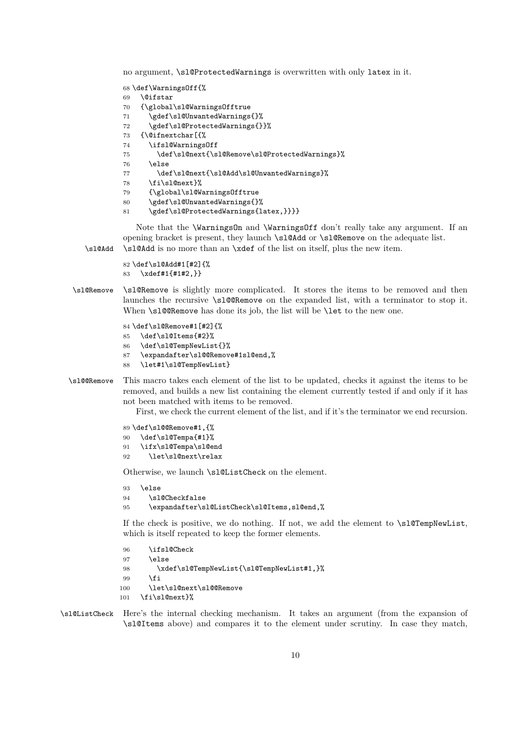no argument, \sl@ProtectedWarnings is overwritten with only latex in it.

 \def\WarningsOff{% \@ifstar {\global\sl@WarningsOfftrue \gdef\sl@UnwantedWarnings{}% 72 \gdef\sl@ProtectedWarnings{}}% {\@ifnextchar[{% \ifsl@WarningsOff \def\sl@next{\sl@Remove\sl@ProtectedWarnings}% \else 77 \def\sl@next{\sl@Add\sl@UnwantedWarnings}% \fi\sl@next}% {\global\sl@WarningsOfftrue \gdef\sl@UnwantedWarnings{}% \gdef\sl@ProtectedWarnings{latex,}}}}

Note that the \WarningsOn and \WarningsOff don't really take any argument. If an opening bracket is present, they launch \sl@Add or \sl@Remove on the adequate list. \sl@Add \sl@Add is no more than an \xdef of the list on itself, plus the new item.

 \def\sl@Add#1[#2]{% \xdef#1{#1#2,}}

\sl@Remove \sl@Remove is slightly more complicated. It stores the items to be removed and then launches the recursive \sl@@Remove on the expanded list, with a terminator to stop it. When \sl@@Remove has done its job, the list will be \let to the new one.

```
84 \def\sl@Remove#1[#2]{%
85 \def\sl@Items{#2}%
86 \def\sl@TempNewList{}%
87 \expandafter\sl@@Remove#1sl@end,%
88 \let#1\sl@TempNewList}
```
\sl@@Remove This macro takes each element of the list to be updated, checks it against the items to be removed, and builds a new list containing the element currently tested if and only if it has not been matched with items to be removed.

First, we check the current element of the list, and if it's the terminator we end recursion.

```
89 \def\sl@@Remove#1,{%
90 \def\sl@Tempa{#1}%
91 \ifx\sl@Tempa\sl@end
92 \let\sl@next\relax
```
Otherwise, we launch \sl@ListCheck on the element.

```
93 \else
94 \sl@Checkfalse
95 \expandafter\sl@ListCheck\sl@Items,sl@end,%
```
If the check is positive, we do nothing. If not, we add the element to \sl@TempNewList, which is itself repeated to keep the former elements.

```
96 \ifsl@Check
97 \else
98 \xdef\sl@TempNewList{\sl@TempNewList#1,}%
99 \quad \text{Vfi}100 \let\sl@next\sl@@Remove
101 \fi\sl@next}%
```
\sl@ListCheck Here's the internal checking mechanism. It takes an argument (from the expansion of \sl@Items above) and compares it to the element under scrutiny. In case they match,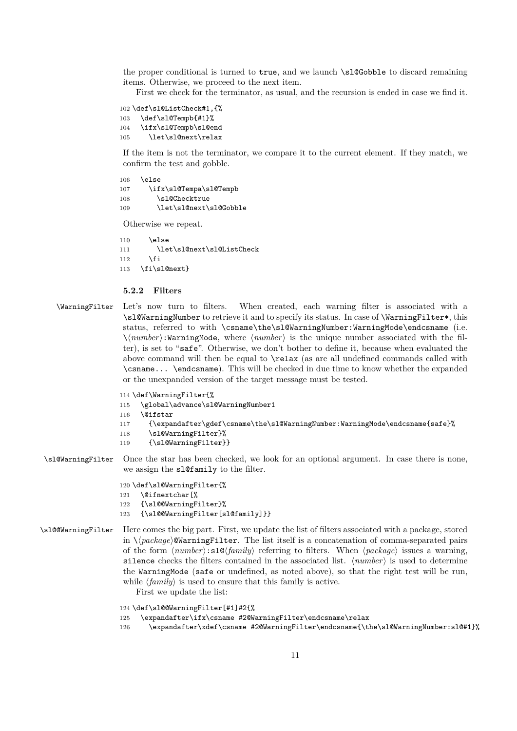the proper conditional is turned to true, and we launch \sl@Gobble to discard remaining items. Otherwise, we proceed to the next item.

First we check for the terminator, as usual, and the recursion is ended in case we find it.

```
102 \def\sl@ListCheck#1,{%
103 \def\sl@Tempb{#1}%
104 \ifx\sl@Tempb\sl@end
105 \let\sl@next\relax
```
If the item is not the terminator, we compare it to the current element. If they match, we confirm the test and gobble.

```
106 \else
107 \ifx\sl@Tempa\sl@Tempb
108 \sl@Checktrue
109 \let\sl@next\sl@Gobble
```
Otherwise we repeat.

 $110 \qquad \text{hs}$ 111 \let\sl@next\sl@ListCheck  $112$  \fi 113 \fi\sl@next}

### **5.2.2 Filters**

- \WarningFilter Let's now turn to filters. When created, each warning filter is associated with a \sl@WarningNumber to retrieve it and to specify its status. In case of \WarningFilter\*, this status, referred to with \csname\the\sl@WarningNumber:WarningMode\endcsname (i.e.  $\hbar m$ umber):WarningMode, where  $\langle number \rangle$  is the unique number associated with the filter), is set to "safe". Otherwise, we don't bother to define it, because when evaluated the above command will then be equal to \relax (as are all undefined commands called with \csname... \endcsname). This will be checked in due time to know whether the expanded or the unexpanded version of the target message must be tested.
	- 114 \def\WarningFilter{%
	- 115 \global\advance\sl@WarningNumber1
	- 116 \@ifstar
	- 117 {\expandafter\gdef\csname\the\sl@WarningNumber:WarningMode\endcsname{safe}%
	- 118 \sl@WarningFilter}%
	- 119 {\sl@WarningFilter}}
- \sl@WarningFilter Once the star has been checked, we look for an optional argument. In case there is none, we assign the sl@family to the filter.

#### 120 \def\sl@WarningFilter{%

- 121 \@ifnextchar[%
- 122 {\sl@@WarningFilter}%
- 123 {\sl@@WarningFilter[sl@family]}}
- \sl@@WarningFilter Here comes the big part. First, we update the list of filters associated with a package, stored in  $\{\text{package}\}\$ **WarningFilter.** The list itself is a concatenation of comma-separated pairs of the form  $\langle number\rangle: s \leq \langle family \rangle$  referring to filters. When  $\langle package \rangle$  issues a warning, silence checks the filters contained in the associated list.  $\langle number \rangle$  is used to determine the WarningMode (safe or undefined, as noted above), so that the right test will be run, while  $\langle \text{family} \rangle$  is used to ensure that this family is active.
	- First we update the list:
	- 124 \def\sl@@WarningFilter[#1]#2{%
	- 125 \expandafter\ifx\csname #2@WarningFilter\endcsname\relax
	- 126 \expandafter\xdef\csname #2@WarningFilter\endcsname{\the\sl@WarningNumber:sl@#1}%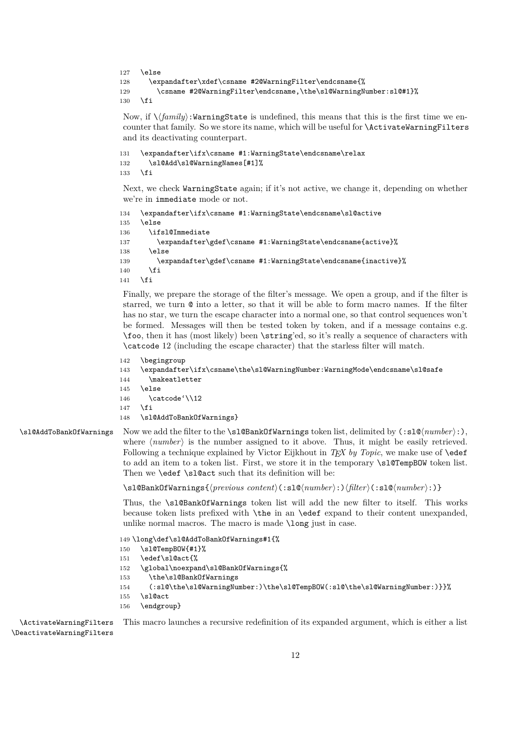```
127 \else
128 \expandafter\xdef\csname #2@WarningFilter\endcsname{%
129 \csname #2@WarningFilter\endcsname,\the\sl@WarningNumber:sl@#1}%
130 \quad \text{if}
```
Now, if  $\\{family\}$ :WarningState is undefined, this means that this is the first time we encounter that family. So we store its name, which will be useful for **\ActivateWarningFilters** and its deactivating counterpart.

```
131 \expandafter\ifx\csname #1:WarningState\endcsname\relax
132 \sl@Add\sl@WarningNames[#1]%
133 \fi
```
Next, we check WarningState again; if it's not active, we change it, depending on whether we're in immediate mode or not.

```
134 \expandafter\ifx\csname #1:WarningState\endcsname\sl@active
135 \else
136 \ifsl@Immediate
137 \expandafter\gdef\csname #1:WarningState\endcsname{active}%
138 \else
139 \expandafter\gdef\csname #1:WarningState\endcsname{inactive}%
140 \fi
141 \fi
```
Finally, we prepare the storage of the filter's message. We open a group, and if the filter is starred, we turn @ into a letter, so that it will be able to form macro names. If the filter has no star, we turn the escape character into a normal one, so that control sequences won't be formed. Messages will then be tested token by token, and if a message contains e.g. \foo, then it has (most likely) been \string'ed, so it's really a sequence of characters with \catcode 12 (including the escape character) that the starless filter will match.

```
142 \begingroup
```

```
143 \expandafter\ifx\csname\the\sl@WarningNumber:WarningMode\endcsname\sl@safe
```

```
144 \makeatletter
```

```
145 \else
```
146 \catcode'\\12

```
147 \fi
```

```
148 \sl@AddToBankOfWarnings}
```
\sl@AddToBankOfWarnings Now we add the filter to the \sl@BankOfWarnings token list, delimited by (:sl@\*number*):), where  $\langle number \rangle$  is the number assigned to it above. Thus, it might be easily retrieved. Following a technique explained by Victor Eijkhout in *TFX by Topic*, we make use of **\edef** to add an item to a token list. First, we store it in the temporary \sl@TempBOW token list. Then we **\edef \sl@act** such that its definition will be:

\sl@BankOfWarnings{\previous content\(:sl@\number\:)\filter\(:sl@\number\:)}

Thus, the \sl@BankOfWarnings token list will add the new filter to itself. This works because token lists prefixed with \the in an \edef expand to their content unexpanded, unlike normal macros. The macro is made **\long** just in case.

149 \long\def\sl@AddToBankOfWarnings#1{%

- 150 \sl@TempBOW{#1}%
- 151 \edef\sl@act{%
- 152 \global\noexpand\sl@BankOfWarnings{%
- 153 \the\sl@BankOfWarnings
- 154 (:sl@\the\sl@WarningNumber:)\the\sl@TempBOW(:sl@\the\sl@WarningNumber:)}}%
- 155 \sl@act
- 156 \endgroup}

\ActivateWarningFilters This macro launches a recursive redefinition of its expanded argument, which is either a list \DeactivateWarningFilters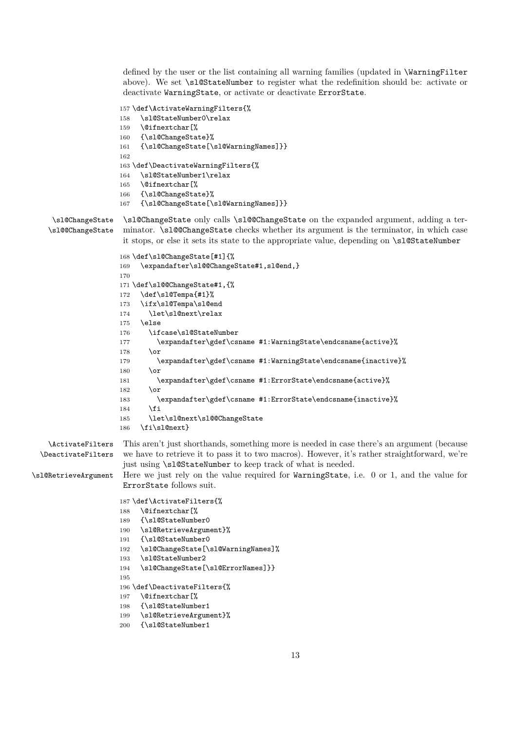defined by the user or the list containing all warning families (updated in \WarningFilter above). We set \sl@StateNumber to register what the redefinition should be: activate or deactivate WarningState, or activate or deactivate ErrorState.

```
157 \def\ActivateWarningFilters{%
158 \sl@StateNumber0\relax
159 \@ifnextchar[%
160 {\sl@ChangeState}%
161 {\sl@ChangeState[\sl@WarningNames]}}
162
163 \def\DeactivateWarningFilters{%
164 \sl@StateNumber1\relax
165 \@ifnextchar[%
166 {\sl@ChangeState}%
167 {\sl@ChangeState[\sl@WarningNames]}}
```
\sl@ChangeState \sl@ChangeState only calls \sl@@ChangeState on the expanded argument, adding a ter- \sl@@ChangeState minator. \sl@@ChangeState checks whether its argument is the terminator, in which case it stops, or else it sets its state to the appropriate value, depending on \sl@StateNumber

```
168 \def\sl@ChangeState[#1]{%
169 \expandafter\sl@@ChangeState#1,sl@end,}
170
171 \def\sl@@ChangeState#1,{%
172 \def\sl@Tempa{#1}%
173 \ifx\sl@Tempa\sl@end
174 \let\sl@next\relax
175 \else
176 \ifcase\sl@StateNumber
177 \expandafter\gdef\csname #1:WarningState\endcsname{active}%
178 \overline{)}179 \expandafter\gdef\csname #1:WarningState\endcsname{inactive}%
180 \qquad \text{for}181 \expandafter\gdef\csname #1:ErrorState\endcsname{active}%
182 \cdot \sqrt{or}183 \expandafter\gdef\csname #1:ErrorState\endcsname{inactive}%
184 \fi
185 \let\sl@next\sl@@ChangeState
186 \fi\sl@next}
```
\ActivateFilters This aren't just shorthands, something more is needed in case there's an argument (because \DeactivateFilters we have to retrieve it to pass it to two macros). However, it's rather straightforward, we're just using \sl@StateNumber to keep track of what is needed.

\sl@RetrieveArgument Here we just rely on the value required for WarningState, i.e. 0 or 1, and the value for ErrorState follows suit.

```
187 \def\ActivateFilters{%
188 \@ifnextchar[%
189 {\sl@StateNumber0
190 \sl@RetrieveArgument}%
191 {\sl@StateNumber0
192 \sl@ChangeState[\sl@WarningNames]%
193 \sl@StateNumber2
194 \sl@ChangeState[\sl@ErrorNames]}}
195
196 \def\DeactivateFilters{%
197 \@ifnextchar[%
```

```
198 {\sl@StateNumber1
```

```
199 \sl@RetrieveArgument}%
```

```
200 {\sl@StateNumber1
```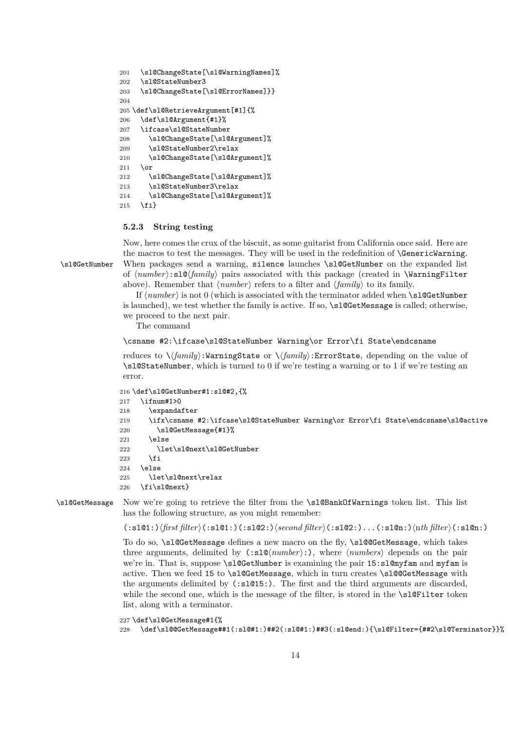```
201 \sl@ChangeState[\sl@WarningNames]%
202 \sl@StateNumber3
203 \sl@ChangeState[\sl@ErrorNames]}}
204
205 \def\sl@RetrieveArgument[#1]{%
206 \def\sl@Argument{#1}%
207 \ifcase\sl@StateNumber
208 \sl@ChangeState[\sl@Argument]%
209 \sl@StateNumber2\relax
210 \sl@ChangeState[\sl@Argument]%
211 \or
212 \sl@ChangeState[\sl@Argument]%
213 \sl@StateNumber3\relax
214 \sl@ChangeState[\sl@Argument]%
215 \quad \text{If}
```
### **5.2.3 String testing**

Now, here comes the crux of the biscuit, as some guitarist from California once said. Here are the macros to test the messages. They will be used in the redefinition of \GenericWarning. \sl@GetNumber When packages send a warning, silence launches \sl@GetNumber on the expanded list of  $\langle number \rangle: s1\mathbb{Q}\langle family \rangle$  pairs associated with this package (created in **\WarningFilter** above). Remember that  $\langle number \rangle$  refers to a filter and  $\langle family \rangle$  to its family.

> If  $\langle number \rangle$  is not 0 (which is associated with the terminator added when \sl@GetNumber is launched), we test whether the family is active. If so,  $\succeq$  sl@GetMessage is called; otherwise, we proceed to the next pair.

The command

```
\csname #2:\ifcase\sl@StateNumber Warning\or Error\fi State\endcsname
```
reduces to  $\langle \frac{family}{\cdot}:\text{WarningState or }\sqrt{family}:\text{ErrorState}, \text{ depending on the value of}$ \sl@StateNumber, which is turned to 0 if we're testing a warning or to 1 if we're testing an error.

```
216 \def\sl@GetNumber#1:sl@#2,{%
```

```
217 \ifnum#1>0
218 \expandafter
219 \ifx\csname #2:\ifcase\sl@StateNumber Warning\or Error\fi State\endcsname\sl@active
220 \sl@GetMessage{#1}%
221 \leq \leq \leq \leq \leq \leq \leq \leq \leq \leq \leq \leq \leq \leq \leq \leq \leq \leq \leq \leq \leq \leq \leq \leq \leq \leq \leq \leq \leq \leq \leq \leq \leq \leq \leq \leq222 \let\sl@next\sl@GetNumber
223 \forallfi
224 \else
225 \let\sl@next\relax
226 \fi\sl@next}
```
\sl@GetMessage Now we're going to retrieve the filter from the \sl@BankOfWarnings token list. This list has the following structure, as you might remember:

 $(:s1@1:)\langle first filter\rangle(:s1@1:)(:s1@2:)\langle second filter\rangle(:s1@2:)\dots(:s1@n:)\langle nth filter\rangle(:s1@n:)$ 

To do so, \sl@GetMessage defines a new macro on the fly, \sl@@GetMessage, which takes three arguments, delimited by  $(:s1@\langle number\rangle:),$  where  $\langle numbers\rangle$  depends on the pair we're in. That is, suppose \sl@GetNumber is examining the pair 15:sl@myfam and myfam is active. Then we feed 15 to \sl@GetMessage, which in turn creates \sl@@GetMessage with the arguments delimited by (:sl@15:). The first and the third arguments are discarded, while the second one, which is the message of the filter, is stored in the \sl@Filter token list, along with a terminator.

```
227 \def\sl@GetMessage#1{%
228 \def\sl@@GetMessage##1(:sl@#1:)##2(:sl@#1:)##3(:sl@end:){\sl@Filter={##2\sl@Terminator}}%
```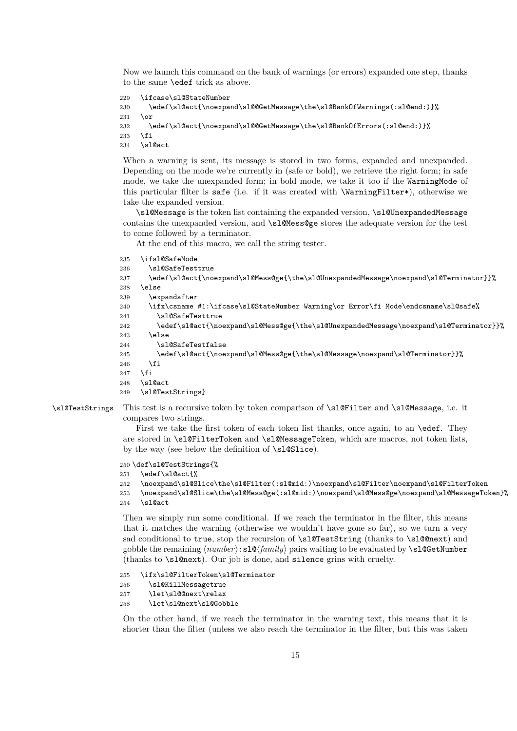Now we launch this command on the bank of warnings (or errors) expanded one step, thanks to the same \edef trick as above.

```
229 \ifcase\sl@StateNumber
230 \edef\sl@act{\noexpand\sl@@GetMessage\the\sl@BankOfWarnings(:sl@end:)}%
231 \or
232 \edef\sl@act{\noexpand\sl@@GetMessage\the\sl@BankOfErrors(:sl@end:)}%
233 \fi
```
234 \sl@act

When a warning is sent, its message is stored in two forms, expanded and unexpanded. Depending on the mode we're currently in (safe or bold), we retrieve the right form; in safe mode, we take the unexpanded form; in bold mode, we take it too if the WarningMode of this particular filter is safe (i.e. if it was created with \WarningFilter\*), otherwise we take the expanded version.

\sl@Message is the token list containing the expanded version, \sl@UnexpandedMessage contains the unexpanded version, and \sl@Mess@ge stores the adequate version for the test to come followed by a terminator.

At the end of this macro, we call the string tester.

```
235 \ifsl@SafeMode
236 \sl@SafeTesttrue
237 \edef\sl@act{\noexpand\sl@Mess@ge{\the\sl@UnexpandedMessage\noexpand\sl@Terminator}}%
238 \else
239 \expandafter
240 \ifx\csname #1:\ifcase\sl@StateNumber Warning\or Error\fi Mode\endcsname\sl@safe%
241 \sl@SafeTesttrue
242 \edef\sl@act{\noexpand\sl@Mess@ge{\the\sl@UnexpandedMessage\noexpand\sl@Terminator}}%
243 \sqrt{9}244 \sl@SafeTestfalse
245 \edef\sl@act{\noexpand\sl@Mess@ge{\the\sl@Message\noexpand\sl@Terminator}}%
246 \fi
247 \overrightarrow{fi}248 \sl@act
249 \sl@TestStrings}
```
\sl@TestStrings This test is a recursive token by token comparison of \sl@Filter and \sl@Message, i.e. it compares two strings.

> First we take the first token of each token list thanks, once again, to an \edef. They are stored in \sl@FilterToken and \sl@MessageToken, which are macros, not token lists, by the way (see below the definition of \sl@Slice).

250 \def\sl@TestStrings{%

```
251 \edef\sl@act{%
252 \noexpand\sl@Slice\the\sl@Filter(:sl@mid:)\noexpand\sl@Filter\noexpand\sl@FilterToken
253 \noexpand\sl@Slice\the\sl@Mess@ge(:sl@mid:)\noexpand\sl@Mess@ge\noexpand\sl@MessageToken}%
```

```
254 \sl@act
```
Then we simply run some conditional. If we reach the terminator in the filter, this means that it matches the warning (otherwise we wouldn't have gone so far), so we turn a very sad conditional to true, stop the recursion of \sl@TestString (thanks to \sl@@next) and gobble the remaining  $\langle number \rangle : \mathsf{sld}(\{family})$  pairs waiting to be evaluated by  $\mathsf{sldGetNumber}$ (thanks to \sl@next). Our job is done, and silence grins with cruelty.

 \ifx\sl@FilterToken\sl@Terminator \sl@KillMessagetrue \let\sl@@next\relax \let\sl@next\sl@Gobble

On the other hand, if we reach the terminator in the warning text, this means that it is shorter than the filter (unless we also reach the terminator in the filter, but this was taken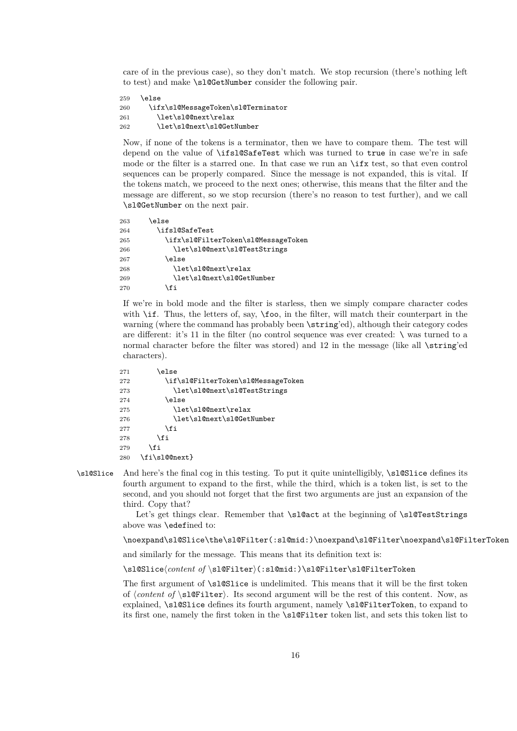care of in the previous case), so they don't match. We stop recursion (there's nothing left to test) and make \sl@GetNumber consider the following pair.

```
259 \else
260 \ifx\sl@MessageToken\sl@Terminator
261 \let\sl@@next\relax
262 \let\sl@next\sl@GetNumber
```
Now, if none of the tokens is a terminator, then we have to compare them. The test will depend on the value of \ifsl@SafeTest which was turned to true in case we're in safe mode or the filter is a starred one. In that case we run an \ifx test, so that even control sequences can be properly compared. Since the message is not expanded, this is vital. If the tokens match, we proceed to the next ones; otherwise, this means that the filter and the message are different, so we stop recursion (there's no reason to test further), and we call \sl@GetNumber on the next pair.

| \else                               |
|-------------------------------------|
| \ifsl@SafeTest                      |
| \ifx\sl@FilterToken\sl@MessageToken |
| \let\sl@@next\sl@TestStrings        |
| \else                               |
| \let\s1@@next\relax                 |
| \let\sl@next\sl@GetNumber           |
| fi                                  |
|                                     |

If we're in bold mode and the filter is starless, then we simply compare character codes with  $\iint$ . Thus, the letters of, say,  $\iota$  too, in the filter, will match their counterpart in the warning (where the command has probably been \string'ed), although their category codes are different: it's 11 in the filter (no control sequence was ever created:  $\setminus$  was turned to a normal character before the filter was stored) and 12 in the message (like all \string'ed characters).

| 271 | else)                              |
|-----|------------------------------------|
| 272 | \if\sl@FilterToken\sl@MessageToken |
| 273 | \let\sl@@next\sl@TestStrings       |
| 274 | \else                              |
| 275 | \let\s1@@next\relax                |
| 276 | \let\sl@next\sl@GetNumber          |
| 277 | \fi                                |
| 278 | \fi                                |
| 279 | \fi                                |
| 280 | \fi\sl@@next}                      |

\sl@Slice And here's the final cog in this testing. To put it quite unintelligibly, \sl@Slice defines its fourth argument to expand to the first, while the third, which is a token list, is set to the second, and you should not forget that the first two arguments are just an expansion of the third. Copy that?

> Let's get things clear. Remember that **\sl@act** at the beginning of **\sl@TestStrings** above was \edefined to:

\noexpand\sl@Slice\the\sl@Filter(:sl@mid:)\noexpand\sl@Filter\noexpand\sl@FilterToken

and similarly for the message. This means that its definition text is:

\sl@Slice\*content of* \sl@Filter\(:sl@mid:)\sl@Filter\sl@FilterToken

The first argument of \sl@Slice is undelimited. This means that it will be the first token of  $\{content\ of \ \s1@Filter\}.$  Its second argument will be the rest of this content. Now, as explained, \sl@Slice defines its fourth argument, namely \sl@FilterToken, to expand to its first one, namely the first token in the \sl@Filter token list, and sets this token list to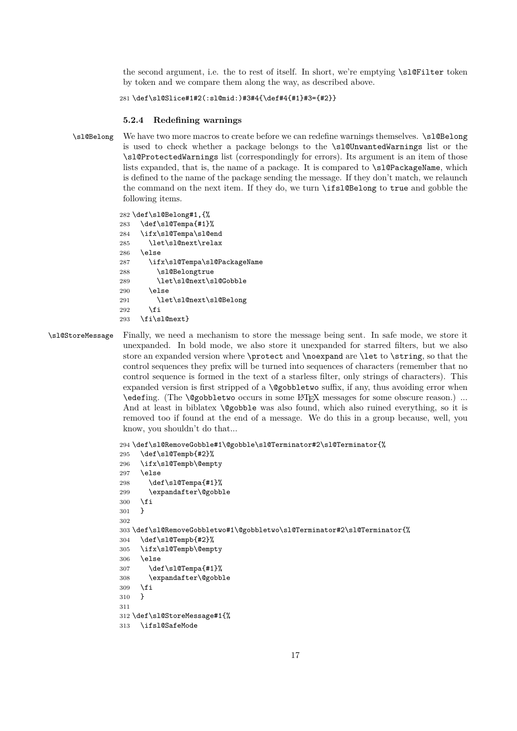the second argument, i.e. the to rest of itself. In short, we're emptying \sl@Filter token by token and we compare them along the way, as described above.

```
281 \def\sl@Slice#1#2(:sl@mid:)#3#4{\def#4{#1}#3={#2}}
```
### **5.2.4 Redefining warnings**

\sl@Belong We have two more macros to create before we can redefine warnings themselves. \sl@Belong is used to check whether a package belongs to the \sl@UnwantedWarnings list or the \sl@ProtectedWarnings list (correspondingly for errors). Its argument is an item of those lists expanded, that is, the name of a package. It is compared to \sl@PackageName, which is defined to the name of the package sending the message. If they don't match, we relaunch the command on the next item. If they do, we turn \ifsl@Belong to true and gobble the following items.

```
282 \def\sl@Belong#1,{%
283 \def\sl@Tempa{#1}%
284 \ifx\sl@Tempa\sl@end
285 \let\sl@next\relax
286 \else
287 \ifx\sl@Tempa\sl@PackageName
288 \sl@Belongtrue
289 \let\sl@next\sl@Gobble
290 \text{le}291 \let\sl@next\sl@Belong
292 \mathbf{Y}293 \fi\sl@next}
```
\sl@StoreMessage Finally, we need a mechanism to store the message being sent. In safe mode, we store it unexpanded. In bold mode, we also store it unexpanded for starred filters, but we also store an expanded version where \protect and \noexpand are \let to \string, so that the control sequences they prefix will be turned into sequences of characters (remember that no control sequence is formed in the text of a starless filter, only strings of characters). This expanded version is first stripped of a **\@gobbletwo** suffix, if any, thus avoiding error when \edefing. (The \@gobbletwo occurs in some LATEX messages for some obscure reason.) ... And at least in biblatex **\@gobble** was also found, which also ruined everything, so it is removed too if found at the end of a message. We do this in a group because, well, you know, you shouldn't do that...

```
294 \def\sl@RemoveGobble#1\@gobble\sl@Terminator#2\sl@Terminator{%
295 \def\sl@Tempb{#2}%
296 \ifx\sl@Tempb\@empty
297 \else
298 \def\sl@Tempa{#1}%
299 \expandafter\@gobble
300 \fi
301 }
302
303 \def\sl@RemoveGobbletwo#1\@gobbletwo\sl@Terminator#2\sl@Terminator{%
304 \def\sl@Tempb{#2}%
305 \ifx\sl@Tempb\@empty
306 \else
307 \def\sl@Tempa{#1}%
308 \expandafter\@gobble
309 \fi
310 }
311
312 \def\sl@StoreMessage#1{%
313 \ifsl@SafeMode
```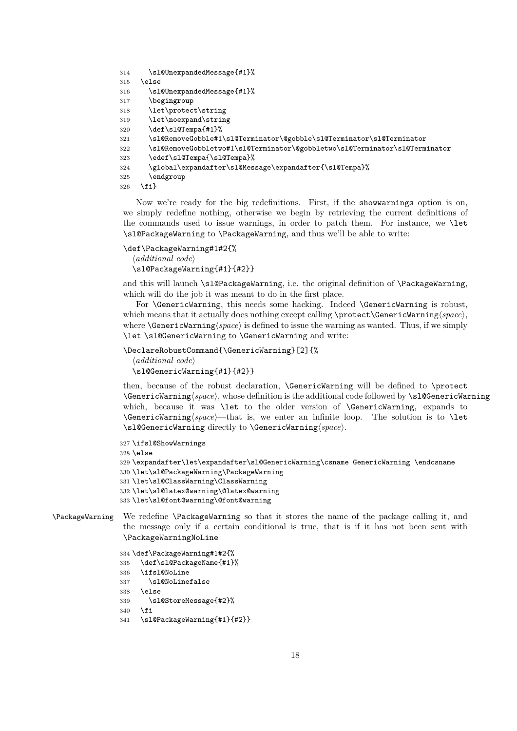```
314 \sl@UnexpandedMessage{#1}%
```

```
315 \else
```

```
316 \sl@UnexpandedMessage{#1}%
```

```
317 \begingroup
```

```
318 \let\protect\string
```

```
319 \let\noexpand\string
```

```
320 \def\sl@Tempa{#1}%
```

```
321 \sl@RemoveGobble#1\sl@Terminator\@gobble\sl@Terminator\sl@Terminator
```

```
322 \sl@RemoveGobbletwo#1\sl@Terminator\@gobbletwo\sl@Terminator\sl@Terminator
```

```
323 \edef\sl@Tempa{\sl@Tempa}%
```

```
324 \global\expandafter\sl@Message\expandafter{\sl@Tempa}%
```

```
325 \endgroup
```

```
326 \fi}
```
Now we're ready for the big redefinitions. First, if the showwarnings option is on, we simply redefine nothing, otherwise we begin by retrieving the current definitions of the commands used to issue warnings, in order to patch them. For instance, we \let \sl@PackageWarning to \PackageWarning, and thus we'll be able to write:

```
\def\PackageWarning#1#2{%
```
 $\langle$ *additional* code $\rangle$ \sl@PackageWarning{#1}{#2}}

and this will launch \sl@PackageWarning, i.e. the original definition of \PackageWarning, which will do the job it was meant to do in the first place.

For \GenericWarning, this needs some hacking. Indeed \GenericWarning is robust, which means that it actually does nothing except calling \protect\GenericWarning $\langle space \rangle$ , where  $\text{GeneralVarning}(space)$  is defined to issue the warning as wanted. Thus, if we simply \let \sl@GenericWarning to \GenericWarning and write:

```
\DeclareRobustCommand{\GenericWarning}[2]{%
  \langleadditional code\rangle\sl@GenericWarning{#1}{#2}}
```
then, because of the robust declaration, \GenericWarning will be defined to \protect \GenericWarning\space\, whose definition is the additional code followed by \sl@GenericWarning which, because it was **\let** to the older version of **\GenericWarning**, expands to  $\Gamma$  is, we enter an infinite loop. The solution is to  $\let$ \sl@GenericWarning directly to \GenericWarning*\space*}.

```
327 \ifsl@ShowWarnings
328 \else
329 \expandafter\let\expandafter\sl@GenericWarning\csname GenericWarning \endcsname
330 \let\sl@PackageWarning\PackageWarning
331 \let\sl@ClassWarning\ClassWarning
332 \let\sl@latex@warning\@latex@warning
333 \let\sl@font@warning\@font@warning
```

```
\PackageWarning We redefine \PackageWarning so that it stores the name of the package calling it, and
                 the message only if a certain conditional is true, that is if it has not been sent with
                 \PackageWarningNoLine
```

```
334 \def\PackageWarning#1#2{%
335 \def\sl@PackageName{#1}%
336 \ifsl@NoLine
337 \sl@NoLinefalse
```

```
338 \else
```

```
339 \sl@StoreMessage{#2}%
```

```
340 \fi
```

```
341 \sl@PackageWarning{#1}{#2}}
```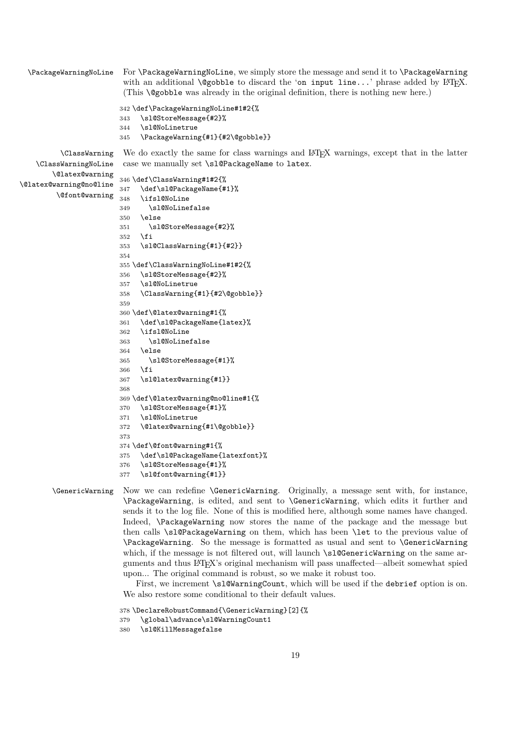\PackageWarningNoLine For \PackageWarningNoLine, we simply store the message and send it to \PackageWarning with an additional  $\text{Qgobble}$  to discard the 'on input line...' phrase added by LAT<sub>E</sub>X. (This \@gobble was already in the original definition, there is nothing new here.) \def\PackageWarningNoLine#1#2{% \sl@StoreMessage{#2}% \sl@NoLinetrue \PackageWarning{#1}{#2\@gobble}} \ClassWarning We do exactly the same for class warnings and LATEX warnings, except that in the latter \ClassWarningNoLine \@latex@warning \@latex@warning@no@line \@font@warning case we manually set \sl@PackageName to latex. \def\ClassWarning#1#2{% \def\sl@PackageName{#1}% \ifsl@NoLine \sl@NoLinefalse  $350 \text{ }\lambda$ else \sl@StoreMessage{#2}% \fi \sl@ClassWarning{#1}{#2}} \def\ClassWarningNoLine#1#2{% \sl@StoreMessage{#2}% \sl@NoLinetrue \ClassWarning{#1}{#2\@gobble}} \def\@latex@warning#1{% \def\sl@PackageName{latex}% \ifsl@NoLine \sl@NoLinefalse \else \sl@StoreMessage{#1}% \fi \sl@latex@warning{#1}} \def\@latex@warning@no@line#1{% \sl@StoreMessage{#1}% \sl@NoLinetrue \@latex@warning{#1\@gobble}} \def\@font@warning#1{% \def\sl@PackageName{latexfont}% \sl@StoreMessage{#1}% \sl@font@warning{#1}}

\GenericWarning Now we can redefine \GenericWarning. Originally, a message sent with, for instance, \PackageWarning, is edited, and sent to \GenericWarning, which edits it further and sends it to the log file. None of this is modified here, although some names have changed. Indeed, \PackageWarning now stores the name of the package and the message but then calls \sl@PackageWarning on them, which has been \let to the previous value of \PackageWarning. So the message is formatted as usual and sent to \GenericWarning which, if the message is not filtered out, will launch \sl@GenericWarning on the same arguments and thus LATEX's original mechanism will pass unaffected—albeit somewhat spied upon... The original command is robust, so we make it robust too.

> First, we increment \sl@WarningCount, which will be used if the debrief option is on. We also restore some conditional to their default values.

```
378 \DeclareRobustCommand{\GenericWarning}[2]{%
379 \global\advance\sl@WarningCount1
380 \sl@KillMessagefalse
```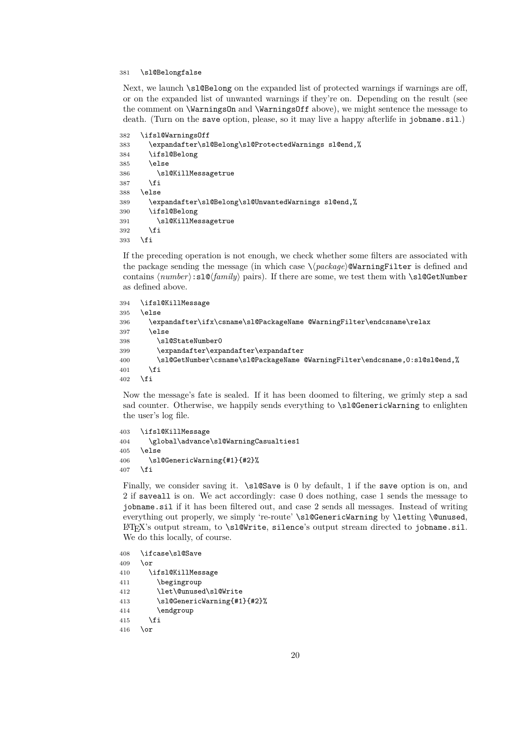### \sl@Belongfalse

Next, we launch \sl@Belong on the expanded list of protected warnings if warnings are off, or on the expanded list of unwanted warnings if they're on. Depending on the result (see the comment on **\WarningsOn** and **\WarningsOff** above), we might sentence the message to death. (Turn on the save option, please, so it may live a happy afterlife in jobname.sil.)

```
382 \ifsl@WarningsOff
383 \expandafter\sl@Belong\sl@ProtectedWarnings sl@end,%
384 \ifsl@Belong
385 \else
386 \sl@KillMessagetrue
387 \fi
388 \else
389 \expandafter\sl@Belong\sl@UnwantedWarnings sl@end,%
390 \ifsl@Belong
391 \sl@KillMessagetrue
392 \fi
393 \fi
```
If the preceding operation is not enough, we check whether some filters are associated with the package sending the message (in which case  $\langle$ *package* $\rangle$ **@WarningFilter** is defined and contains  $\langle number \rangle: s \log \langle family \rangle$  pairs). If there are some, we test them with \sl@GetNumber as defined above.

```
394 \ifsl@KillMessage
395 \else
396 \expandafter\ifx\csname\sl@PackageName @WarningFilter\endcsname\relax
397 \else
398 \sl@StateNumber0
399 \expandafter\expandafter\expandafter
400 \sl@GetNumber\csname\sl@PackageName @WarningFilter\endcsname,0:sl@sl@end,%
401 \qquad \text{If}402 \fi
```
Now the message's fate is sealed. If it has been doomed to filtering, we grimly step a sad sad counter. Otherwise, we happily sends everything to \sl@GenericWarning to enlighten the user's log file.

```
403 \ifsl@KillMessage
404 \global\advance\sl@WarningCasualties1
405 \else
406 \sl@GenericWarning{#1}{#2}%
407 \fi
```
Finally, we consider saving it.  $\s0$  by default, 1 if the save option is on, and 2 if saveall is on. We act accordingly: case 0 does nothing, case 1 sends the message to jobname.sil if it has been filtered out, and case 2 sends all messages. Instead of writing everything out properly, we simply 're-route' \sl@GenericWarning by \letting \@unused, LATEX's output stream, to \sl@Write, silence's output stream directed to jobname.sil. We do this locally, of course.

```
408 \ifcase\sl@Save
409 \or
410 \ifsl@KillMessage
411 \begingroup
412 \let\@unused\sl@Write
413 \sl@GenericWarning{#1}{#2}%
414 \endgroup
415 \fi
416 \or
```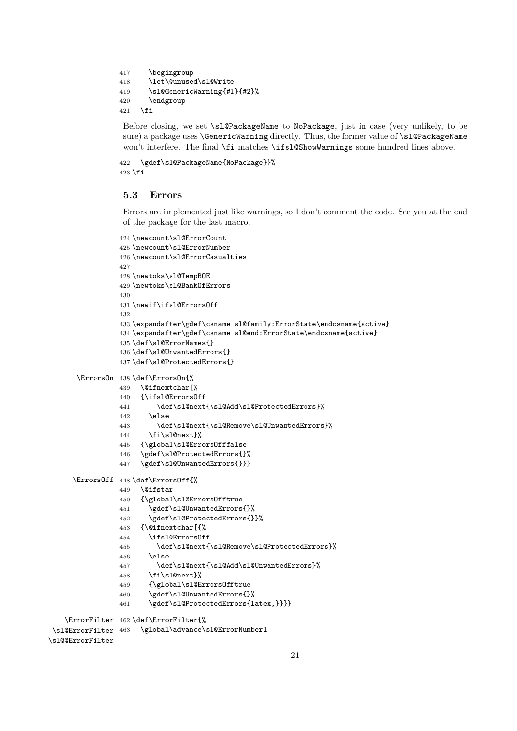```
417 \begingroup
418 \let\@unused\sl@Write
419 \sl@GenericWarning{#1}{#2}%
420 \endgroup
421 \fi
```
Before closing, we set \sl@PackageName to NoPackage, just in case (very unlikely, to be sure) a package uses **\GenericWarning** directly. Thus, the former value of **\sl@PackageName** won't interfere. The final \fi matches \ifsl@ShowWarnings some hundred lines above.

```
422 \gdef\sl@PackageName{NoPackage}}%
423 \fi
```
### **5.3 Errors**

Errors are implemented just like warnings, so I don't comment the code. See you at the end of the package for the last macro.

```
424 \newcount\sl@ErrorCount
                425 \newcount\sl@ErrorNumber
                426 \newcount\sl@ErrorCasualties
                427
                428 \newtoks\sl@TempBOE
                429 \newtoks\sl@BankOfErrors
                430
                431 \newif\ifsl@ErrorsOff
                432
                433 \expandafter\gdef\csname sl@family:ErrorState\endcsname{active}
                434 \expandafter\gdef\csname sl@end:ErrorState\endcsname{active}
                435 \def\sl@ErrorNames{}
                436 \def\sl@UnwantedErrors{}
                437 \def\sl@ProtectedErrors{}
      \ErrorsOn 438 \def\ErrorsOn{%
                439 \@ifnextchar[%
                440 {\ifsl@ErrorsOff
                441 \def\sl@next{\sl@Add\sl@ProtectedErrors}%
                442 \else
                443 \def\sl@next{\sl@Remove\sl@UnwantedErrors}%
                444 \fi\sl@next}%
                445 {\global\sl@ErrorsOfffalse
                446 \gdef\sl@ProtectedErrors{}%
                447 \gdef\sl@UnwantedErrors{}}}
     \ErrorsOff 448 \def\ErrorsOff{%
                449 \@ifstar
                450 {\global\sl@ErrorsOfftrue
                451 \gdef\sl@UnwantedErrors{}%
                452 \gdef\sl@ProtectedErrors{}}%
                453 {\@ifnextchar[{%
                454 \ifsl@ErrorsOff
                455 \def\sl@next{\sl@Remove\sl@ProtectedErrors}%
                456 \else
                457 \def\sl@next{\sl@Add\sl@UnwantedErrors}%
                458 \fi\sl@next}%
                459 {\global\sl@ErrorsOfftrue
                460 \gdef\sl@UnwantedErrors{}%
                461 \gdef\sl@ProtectedErrors{latex,}}}}
    \ErrorFilter
462 \def\ErrorFilter{%
 \sl@ErrorFilter
463 \global\advance\sl@ErrorNumber1
\sl@@ErrorFilter
```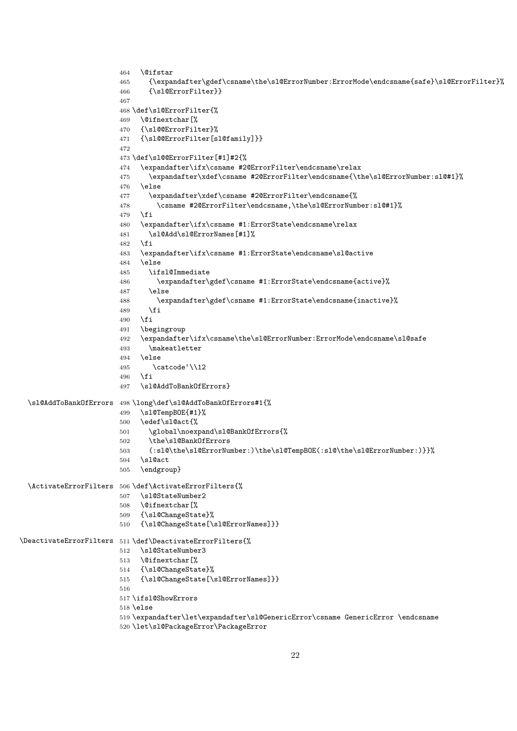```
464 \@ifstar
                       465 {\expandafter\gdef\csname\the\sl@ErrorNumber:ErrorMode\endcsname{safe}\sl@ErrorFilter}%
                       466 {\sl@ErrorFilter}}
                       467
                       468 \def\sl@ErrorFilter{%
                       469 \@ifnextchar[%
                       470 {\sl@@ErrorFilter}%
                       471 {\sl@@ErrorFilter[sl@family]}}
                       472
                       473 \def\sl@@ErrorFilter[#1]#2{%
                       474 \expandafter\ifx\csname #2@ErrorFilter\endcsname\relax
                       475 \expandafter\xdef\csname #2@ErrorFilter\endcsname{\the\sl@ErrorNumber:sl@#1}%
                       476 \else
                       477 \expandafter\xdef\csname #2@ErrorFilter\endcsname{%
                       478 \csname #2@ErrorFilter\endcsname,\the\sl@ErrorNumber:sl@#1}%
                       479 \fi
                       480 \expandafter\ifx\csname #1:ErrorState\endcsname\relax
                       481 \sl@Add\sl@ErrorNames[#1]%
                       482 \fi
                       483 \expandafter\ifx\csname #1:ErrorState\endcsname\sl@active
                       484 \else
                       485 \ifsl@Immediate
                       486 \expandafter\gdef\csname #1:ErrorState\endcsname{active}%
                       487 \else
                       488 \expandafter\gdef\csname #1:ErrorState\endcsname{inactive}%
                       489 \fi
                       490 \fi
                       491 \begingroup
                       492 \expandafter\ifx\csname\the\sl@ErrorNumber:ErrorMode\endcsname\sl@safe
                       493 \makeatletter
                       494 \else
                       495 \catcode'\\12
                       496 \setminusfi
                       497 \sl@AddToBankOfErrors}
 \sl@AddToBankOfErrors 498 \long\def\sl@AddToBankOfErrors#1{%
                       499 \sl@TempBOE{#1}%
                       500 \edef\sl@act{%
                       501 \global\noexpand\sl@BankOfErrors{%
                       502 \the\sl@BankOfErrors
                       503 (:sl@\the\sl@ErrorNumber:)\the\sl@TempBOE(:sl@\the\sl@ErrorNumber:)}}%
                       504 \sl@act
                       505 \endgroup}
 \ActivateErrorFilters 506 \def\ActivateErrorFilters{%
                       507 \sl@StateNumber2
                       508 \@ifnextchar[%
                       509 {\sl@ChangeState}%
                       510 {\sl@ChangeState[\sl@ErrorNames]}}
\DeactivateErrorFilters 511 \def\DeactivateErrorFilters{%
                       512 \sl@StateNumber3
                       513 \@ifnextchar[%
                       514 {\sl@ChangeState}%
                       515 {\sl@ChangeState[\sl@ErrorNames]}}
                       516
                       517 \ifsl@ShowErrors
                       518 \else
                       519 \expandafter\let\expandafter\sl@GenericError\csname GenericError \endcsname
                       520 \let\sl@PackageError\PackageError
```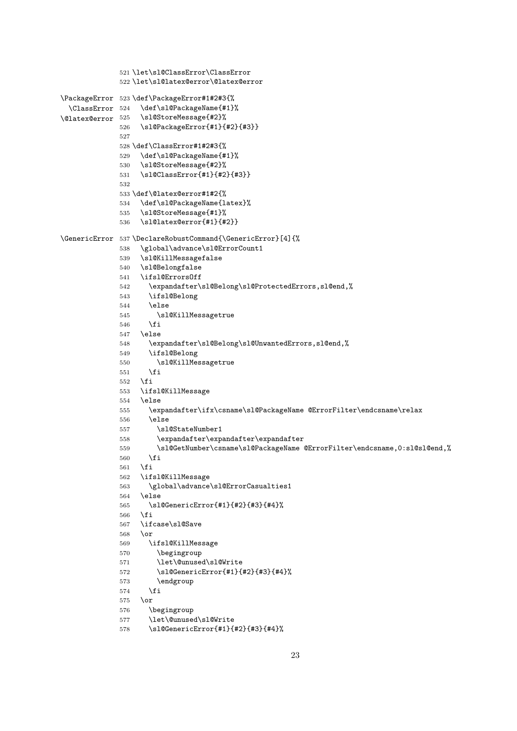```
521 \let\sl@ClassError\ClassError
               522 \let\sl@latex@error\@latex@error
\PackageError
523 \def\PackageError#1#2#3{%
  \ClassError
\verb+\Qlatex@error + 525+\def\sl@PackageName{#1}%
                    \sl@StoreMessage{#2}%
               526 \sl@PackageError{#1}{#2}{#3}}
               527
               528 \def\ClassError#1#2#3{%
               529 \def\sl@PackageName{#1}%
               530 \sl@StoreMessage{#2}%
               531 \sl@ClassError{#1}{#2}{#3}}
               532
               533 \def\@latex@error#1#2{%
               534 \def\sl@PackageName{latex}%
               535 \sl@StoreMessage{#1}%
               536 \sl@latex@error{#1}{#2}}
\GenericError 537 \DeclareRobustCommand{\GenericError}[4]{%
               538 \global\advance\sl@ErrorCount1
               539 \sl@KillMessagefalse
               540 \sl@Belongfalse
               541 \ifsl@ErrorsOff
               542 \expandafter\sl@Belong\sl@ProtectedErrors,sl@end,%
               543 \ifsl@Belong
               544 \else
               545 \sl@KillMessagetrue
               546 \fi
               547 \else
               548 \expandafter\sl@Belong\sl@UnwantedErrors,sl@end,%
               549 \ifsl@Belong
               550 \sl@KillMessagetrue
               551 \fi
               552 \fi
               553 \ifsl@KillMessage
               554 \else
               555 \expandafter\ifx\csname\sl@PackageName @ErrorFilter\endcsname\relax
               556 \leq \leq \leq \leq \leq \leq \leq \leq \leq \leq \leq \leq \leq \leq \leq \leq \leq \leq \leq \leq \leq \leq \leq \leq \leq \leq \leq \leq \leq \leq \leq \leq \leq \leq \leq \leq557 \sl@StateNumber1
               558 \expandafter\expandafter\expandafter
               559 \sl@GetNumber\csname\sl@PackageName @ErrorFilter\endcsname,0:sl@sl@end,%
               560 \fi
               561 \fi
               562 \ifsl@KillMessage
               563 \global\advance\sl@ErrorCasualties1
               564 \else
               565 \sl@GenericError{#1}{#2}{#3}{#4}%
               566 \fi
               567 \ifcase\sl@Save
               568 \or
               569 \ifsl@KillMessage
               570 \begingroup
               571 \let\@unused\sl@Write
               572 \sl@GenericError{#1}{#2}{#3}{#4}%
               573 \endgroup
               574 \fi
               575 \or
               576 \begingroup
               577 \let\@unused\sl@Write
```

```
578 \sl@GenericError{#1}{#2}{#3}{#4}%
```